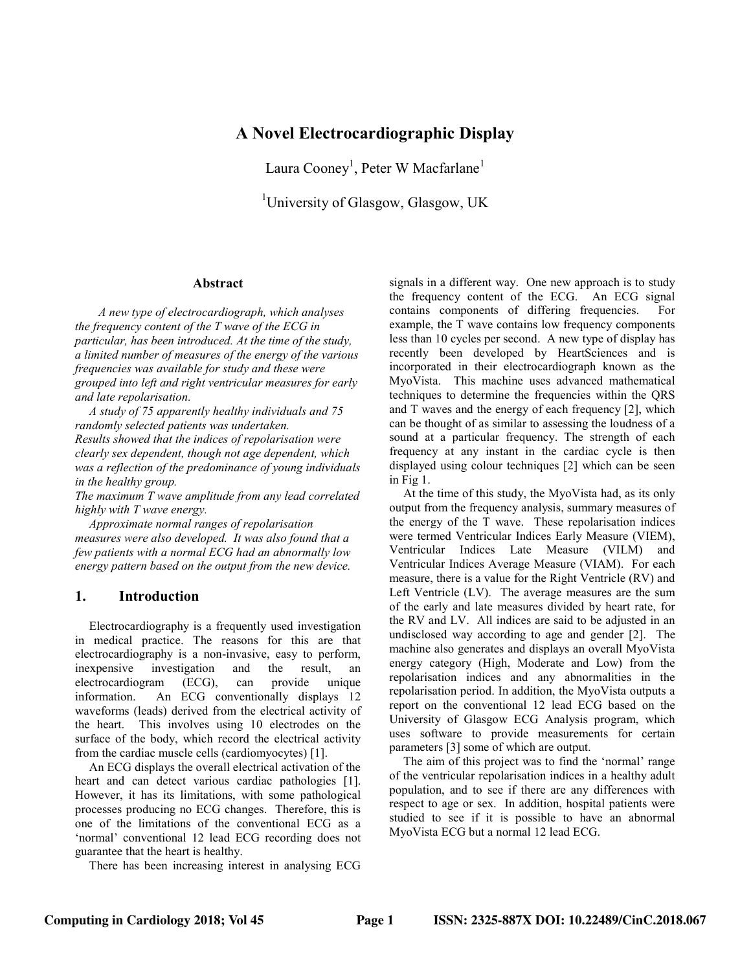# A Novel Electrocardiographic Display

Laura Cooney $^{\rm l}$ , Peter W Macfarlane $^{\rm l}$ 

<sup>1</sup>University of Glasgow, Glasgow, UK

#### Abstract

 A new type of electrocardiograph, which analyses the frequency content of the T wave of the ECG in particular, has been introduced. At the time of the study, a limited number of measures of the energy of the various frequencies was available for study and these were grouped into left and right ventricular measures for early and late repolarisation.

A study of 75 apparently healthy individuals and 75 randomly selected patients was undertaken. Results showed that the indices of repolarisation were clearly sex dependent, though not age dependent, which was a reflection of the predominance of young individuals in the healthy group.

The maximum T wave amplitude from any lead correlated highly with T wave energy.

Approximate normal ranges of repolarisation measures were also developed. It was also found that a few patients with a normal ECG had an abnormally low energy pattern based on the output from the new device.

#### 1. Introduction

Electrocardiography is a frequently used investigation in medical practice. The reasons for this are that electrocardiography is a non-invasive, easy to perform, inexpensive investigation and the result, an electrocardiogram (ECG), can provide unique information. An ECG conventionally displays 12 waveforms (leads) derived from the electrical activity of the heart. This involves using 10 electrodes on the surface of the body, which record the electrical activity from the cardiac muscle cells (cardiomyocytes) [1].

An ECG displays the overall electrical activation of the heart and can detect various cardiac pathologies [1]. However, it has its limitations, with some pathological processes producing no ECG changes. Therefore, this is one of the limitations of the conventional ECG as a 'normal' conventional 12 lead ECG recording does not guarantee that the heart is healthy.

There has been increasing interest in analysing ECG

signals in a different way. One new approach is to study the frequency content of the ECG. An ECG signal contains components of differing frequencies. For example, the T wave contains low frequency components less than 10 cycles per second. A new type of display has recently been developed by HeartSciences and is incorporated in their electrocardiograph known as the MyoVista. This machine uses advanced mathematical techniques to determine the frequencies within the QRS and T waves and the energy of each frequency [2], which can be thought of as similar to assessing the loudness of a sound at a particular frequency. The strength of each frequency at any instant in the cardiac cycle is then displayed using colour techniques [2] which can be seen in Fig 1.

At the time of this study, the MyoVista had, as its only output from the frequency analysis, summary measures of the energy of the T wave. These repolarisation indices were termed Ventricular Indices Early Measure (VIEM), Ventricular Indices Late Measure (VILM) and Ventricular Indices Average Measure (VIAM). For each measure, there is a value for the Right Ventricle (RV) and Left Ventricle (LV). The average measures are the sum of the early and late measures divided by heart rate, for the RV and LV. All indices are said to be adjusted in an undisclosed way according to age and gender [2]. The machine also generates and displays an overall MyoVista energy category (High, Moderate and Low) from the repolarisation indices and any abnormalities in the repolarisation period. In addition, the MyoVista outputs a report on the conventional 12 lead ECG based on the University of Glasgow ECG Analysis program, which uses software to provide measurements for certain parameters [3] some of which are output.

The aim of this project was to find the 'normal' range of the ventricular repolarisation indices in a healthy adult population, and to see if there are any differences with respect to age or sex. In addition, hospital patients were studied to see if it is possible to have an abnormal MyoVista ECG but a normal 12 lead ECG.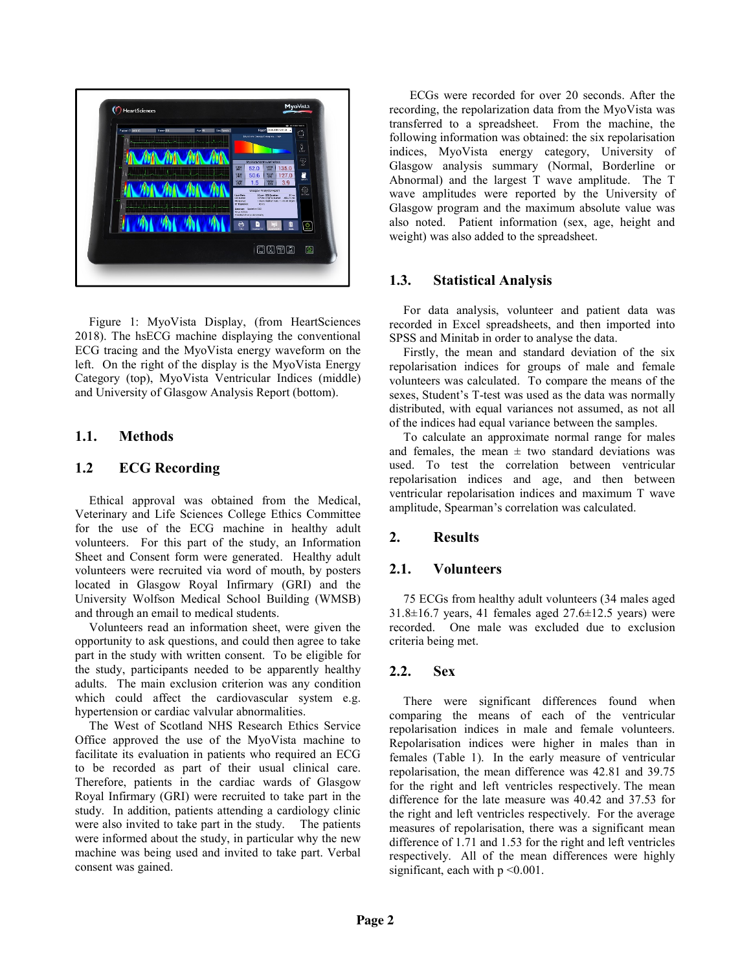

Figure 1: MyoVista Display, (from HeartSciences 2018). The hsECG machine displaying the conventional ECG tracing and the MyoVista energy waveform on the left. On the right of the display is the MyoVista Energy Category (top), MyoVista Ventricular Indices (middle) and University of Glasgow Analysis Report (bottom).

# 1.1. Methods

### 1.2 ECG Recording

Ethical approval was obtained from the Medical, Veterinary and Life Sciences College Ethics Committee for the use of the ECG machine in healthy adult volunteers. For this part of the study, an Information Sheet and Consent form were generated. Healthy adult volunteers were recruited via word of mouth, by posters located in Glasgow Royal Infirmary (GRI) and the University Wolfson Medical School Building (WMSB) and through an email to medical students.

Volunteers read an information sheet, were given the opportunity to ask questions, and could then agree to take part in the study with written consent. To be eligible for the study, participants needed to be apparently healthy adults. The main exclusion criterion was any condition which could affect the cardiovascular system e.g. hypertension or cardiac valvular abnormalities.

The West of Scotland NHS Research Ethics Service Office approved the use of the MyoVista machine to facilitate its evaluation in patients who required an ECG to be recorded as part of their usual clinical care. Therefore, patients in the cardiac wards of Glasgow Royal Infirmary (GRI) were recruited to take part in the study. In addition, patients attending a cardiology clinic were also invited to take part in the study. The patients were informed about the study, in particular why the new machine was being used and invited to take part. Verbal consent was gained.

 ECGs were recorded for over 20 seconds. After the recording, the repolarization data from the MyoVista was transferred to a spreadsheet. From the machine, the following information was obtained: the six repolarisation indices, MyoVista energy category, University of Glasgow analysis summary (Normal, Borderline or Abnormal) and the largest T wave amplitude. The T wave amplitudes were reported by the University of Glasgow program and the maximum absolute value was also noted. Patient information (sex, age, height and weight) was also added to the spreadsheet.

# 1.3. Statistical Analysis

For data analysis, volunteer and patient data was recorded in Excel spreadsheets, and then imported into SPSS and Minitab in order to analyse the data.

Firstly, the mean and standard deviation of the six repolarisation indices for groups of male and female volunteers was calculated. To compare the means of the sexes, Student's T-test was used as the data was normally distributed, with equal variances not assumed, as not all of the indices had equal variance between the samples.

To calculate an approximate normal range for males and females, the mean  $\pm$  two standard deviations was used. To test the correlation between ventricular repolarisation indices and age, and then between ventricular repolarisation indices and maximum T wave amplitude, Spearman's correlation was calculated.

# 2. Results

### 2.1. Volunteers

75 ECGs from healthy adult volunteers (34 males aged  $31.8\pm16.7$  years, 41 females aged  $27.6\pm12.5$  years) were recorded. One male was excluded due to exclusion criteria being met.

### 2.2. Sex

There were significant differences found when comparing the means of each of the ventricular repolarisation indices in male and female volunteers. Repolarisation indices were higher in males than in females (Table 1). In the early measure of ventricular repolarisation, the mean difference was 42.81 and 39.75 for the right and left ventricles respectively. The mean difference for the late measure was 40.42 and 37.53 for the right and left ventricles respectively. For the average measures of repolarisation, there was a significant mean difference of 1.71 and 1.53 for the right and left ventricles respectively. All of the mean differences were highly significant, each with  $p \le 0.001$ .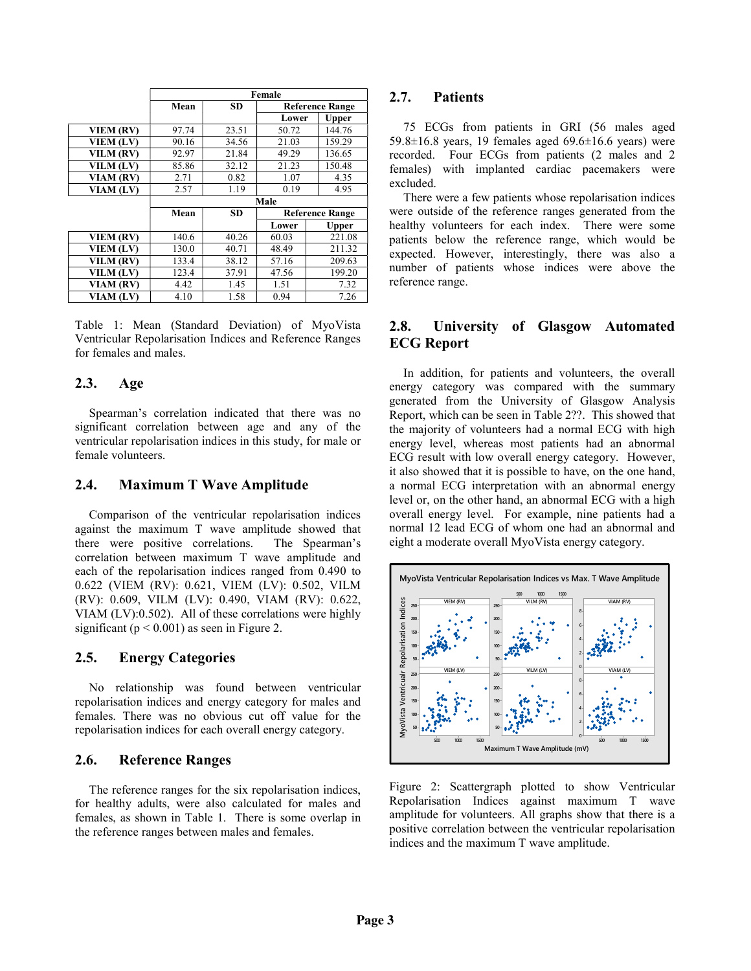|                  | Female |           |                        |              |
|------------------|--------|-----------|------------------------|--------------|
|                  | Mean   | SD.       | <b>Reference Range</b> |              |
|                  |        |           | Lower                  | <b>Upper</b> |
| <b>VIEM (RV)</b> | 97.74  | 23.51     | 50.72                  | 144.76       |
| VIEM (LV)        | 90.16  | 34.56     | 21.03                  | 159.29       |
| VILM (RV)        | 92.97  | 21.84     | 49.29                  | 136.65       |
| VILM (LV)        | 85.86  | 32.12     | 21.23                  | 150.48       |
| VIAM (RV)        | 2.71   | 0.82      | 1.07                   | 4.35         |
| VIAM (LV)        | 2.57   | 1.19      | 0.19                   | 4.95         |
|                  | Male   |           |                        |              |
|                  | Mean   | <b>SD</b> | <b>Reference Range</b> |              |
|                  |        |           | Lower                  | Upper        |
| <b>VIEM (RV)</b> | 140.6  | 40.26     | 60.03                  | 221.08       |
| VIEM (LV)        | 130.0  | 40.71     | 48.49                  | 211.32       |
| VILM (RV)        | 133.4  | 38.12     | 57.16                  | 209.63       |
| VILM (LV)        | 123.4  | 37.91     | 47.56                  | 199.20       |
| VIAM (RV)        | 4.42   | 1.45      | 1.51                   | 7.32         |
| VIAM (LV)        | 4.10   | 1.58      | 0.94                   | 7.26         |

Table 1: Mean (Standard Deviation) of MyoVista Ventricular Repolarisation Indices and Reference Ranges for females and males.

# 2.3. Age

Spearman's correlation indicated that there was no significant correlation between age and any of the ventricular repolarisation indices in this study, for male or female volunteers.

#### 2.4. Maximum T Wave Amplitude

Comparison of the ventricular repolarisation indices against the maximum T wave amplitude showed that there were positive correlations. The Spearman's correlation between maximum T wave amplitude and each of the repolarisation indices ranged from 0.490 to 0.622 (VIEM (RV): 0.621, VIEM (LV): 0.502, VILM (RV): 0.609, VILM (LV): 0.490, VIAM (RV): 0.622, VIAM (LV):0.502). All of these correlations were highly significant ( $p < 0.001$ ) as seen in Figure 2.

### 2.5. Energy Categories

No relationship was found between ventricular repolarisation indices and energy category for males and females. There was no obvious cut off value for the repolarisation indices for each overall energy category.

#### 2.6. Reference Ranges

The reference ranges for the six repolarisation indices, for healthy adults, were also calculated for males and females, as shown in Table 1. There is some overlap in the reference ranges between males and females.

#### 2.7. Patients

75 ECGs from patients in GRI (56 males aged  $59.8\pm16.8$  years, 19 females aged  $69.6\pm16.6$  years) were recorded. Four ECGs from patients (2 males and 2 females) with implanted cardiac pacemakers were excluded.

There were a few patients whose repolarisation indices were outside of the reference ranges generated from the healthy volunteers for each index. There were some patients below the reference range, which would be expected. However, interestingly, there was also a number of patients whose indices were above the reference range.

### 2.8. University of Glasgow Automated ECG Report

In addition, for patients and volunteers, the overall energy category was compared with the summary generated from the University of Glasgow Analysis Report, which can be seen in Table 2??. This showed that the majority of volunteers had a normal ECG with high energy level, whereas most patients had an abnormal ECG result with low overall energy category. However, it also showed that it is possible to have, on the one hand, a normal ECG interpretation with an abnormal energy level or, on the other hand, an abnormal ECG with a high overall energy level. For example, nine patients had a normal 12 lead ECG of whom one had an abnormal and eight a moderate overall MyoVista energy category.



Figure 2: Scattergraph plotted to show Ventricular Repolarisation Indices against maximum T wave amplitude for volunteers. All graphs show that there is a positive correlation between the ventricular repolarisation indices and the maximum T wave amplitude.